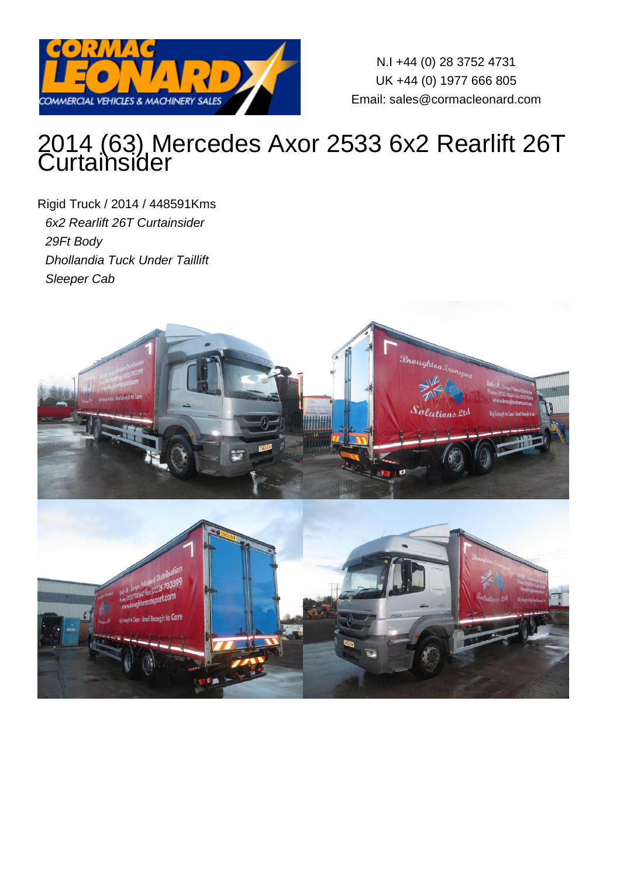

N.I +44 (0) 28 3752 4731 UK +44 (0) 1977 666 805 Email: sales@cormacleonard.com

### 2014 (63) Mercedes Axor 2533 6x2 Rearlift 26T **Curtainsider**

Rigid Truck / 2014 / 448591Kms 6x2 Rearlift 26T Curtainsider 29Ft Body Dhollandia Tuck Under Taillift Sleeper Cab

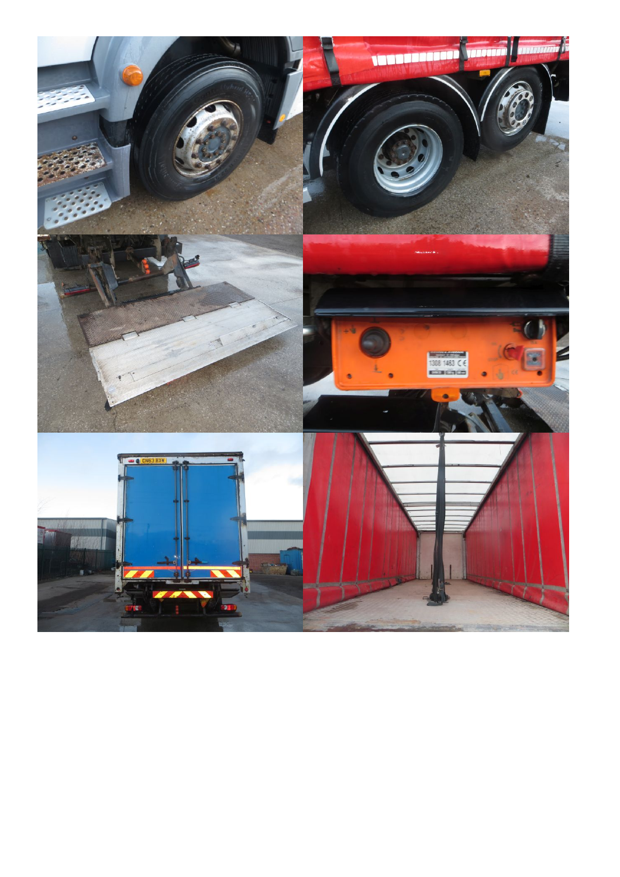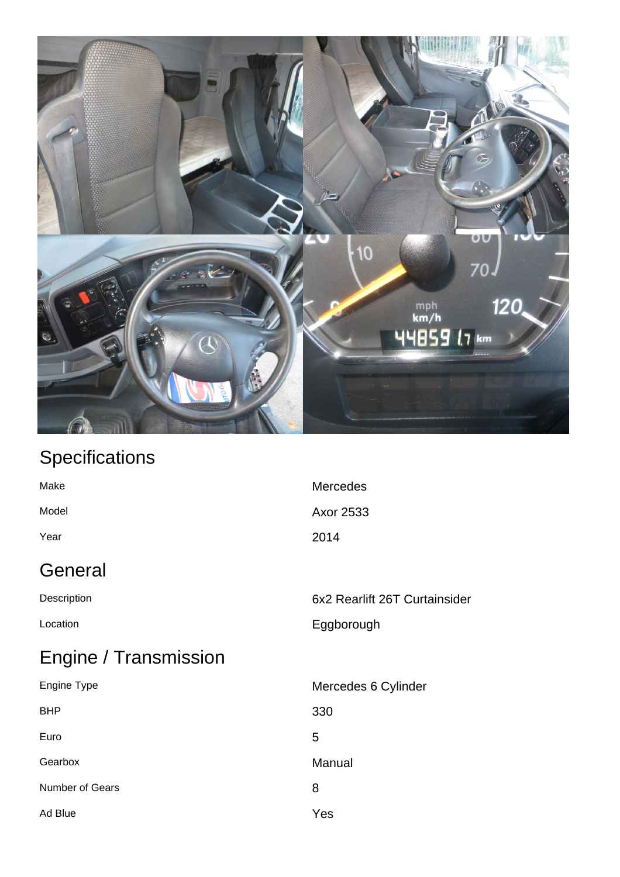

# **Specifications**

| Make                   | <b>Mercedes</b>               |
|------------------------|-------------------------------|
| Model                  | Axor 2533                     |
| Year                   | 2014                          |
| General                |                               |
| Description            | 6x2 Rearlift 26T Curtainsider |
| Location               | Eggborough                    |
| Engine / Transmission  |                               |
| Engine Type            | Mercedes 6 Cylinder           |
| <b>BHP</b>             |                               |
|                        | 330                           |
| Euro                   | 5                             |
| Gearbox                | Manual                        |
| <b>Number of Gears</b> | 8                             |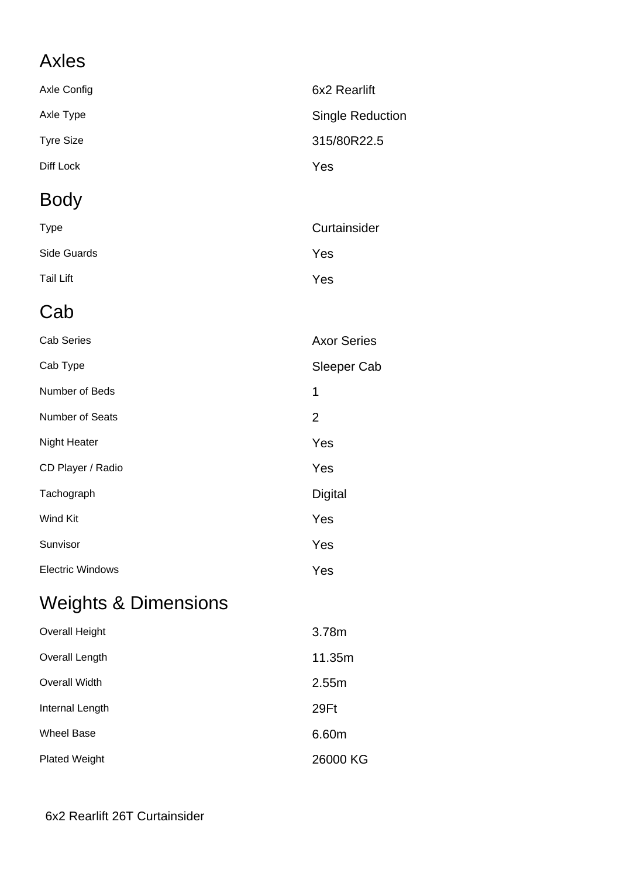#### Axles

| Axle Config             | 6x2 Rearlift            |
|-------------------------|-------------------------|
| Axle Type               | <b>Single Reduction</b> |
| <b>Tyre Size</b>        | 315/80R22.5             |
| Diff Lock               | Yes                     |
| <b>Body</b>             |                         |
| <b>Type</b>             | Curtainsider            |
| <b>Side Guards</b>      | Yes                     |
| <b>Tail Lift</b>        | Yes                     |
| Cab                     |                         |
| <b>Cab Series</b>       | <b>Axor Series</b>      |
| Cab Type                | <b>Sleeper Cab</b>      |
| Number of Beds          | 1                       |
| Number of Seats         | $\overline{2}$          |
| <b>Night Heater</b>     | Yes                     |
| CD Player / Radio       | Yes                     |
| Tachograph              | <b>Digital</b>          |
| Wind Kit                | Yes                     |
| Sunvisor                | Yes                     |
| <b>Electric Windows</b> | Yes                     |
|                         |                         |

# Weights & Dimensions

| <b>Overall Height</b> | 3.78m    |
|-----------------------|----------|
| Overall Length        | 11.35m   |
| Overall Width         | 2.55m    |
| Internal Length       | 29Ft     |
| Wheel Base            | 6.60m    |
| <b>Plated Weight</b>  | 26000 KG |